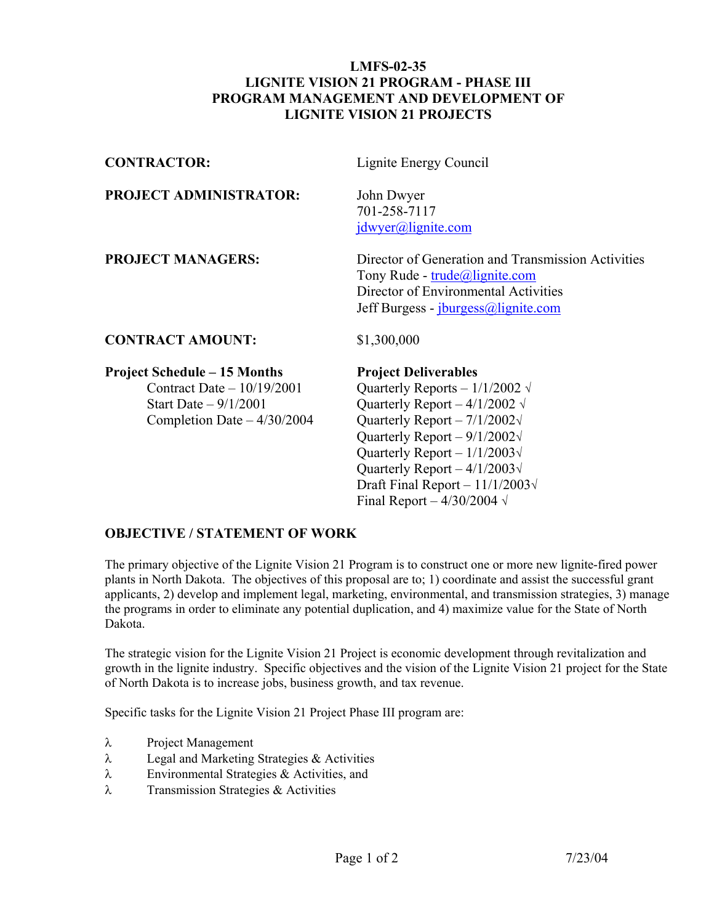## **LMFS-02-35 LIGNITE VISION 21 PROGRAM - PHASE III PROGRAM MANAGEMENT AND DEVELOPMENT OF LIGNITE VISION 21 PROJECTS**

| <b>CONTRACTOR:</b>                                                                                                           | Lignite Energy Council                                                                                                                                                    |
|------------------------------------------------------------------------------------------------------------------------------|---------------------------------------------------------------------------------------------------------------------------------------------------------------------------|
| <b>PROJECT ADMINISTRATOR:</b>                                                                                                | John Dwyer<br>701-258-7117<br>jdwyer@llignite.com                                                                                                                         |
| <b>PROJECT MANAGERS:</b>                                                                                                     | Director of Generation and Transmission Activities<br>Tony Rude - trude@lignite.com<br>Director of Environmental Activities<br>Jeff Burgess - <i>jburgess@lignite.com</i> |
| <b>CONTRACT AMOUNT:</b>                                                                                                      | \$1,300,000                                                                                                                                                               |
| <b>Project Schedule – 15 Months</b><br>Contract Date $-10/19/2001$<br>Start Date $-9/1/2001$<br>Completion Date $-4/30/2004$ | <b>Project Deliverables</b><br>Quarterly Reports - $1/1/2002 \sqrt{ }$<br>Quarterly Report – $4/1/2002 \sqrt{ }$<br>Quarterly Report $-7/1/2002\sqrt{ }$                  |

 Quarterly Report – 9/1/2002√ Quarterly Report – 1/1/2003**√** Quarterly Report – 4/1/2003**√** Draft Final Report – 11/1/2003√ Final Report –  $4/30/2004 \sqrt{ }$ 

## **OBJECTIVE / STATEMENT OF WORK**

The primary objective of the Lignite Vision 21 Program is to construct one or more new lignite-fired power plants in North Dakota. The objectives of this proposal are to; 1) coordinate and assist the successful grant applicants, 2) develop and implement legal, marketing, environmental, and transmission strategies, 3) manage the programs in order to eliminate any potential duplication, and 4) maximize value for the State of North Dakota.

The strategic vision for the Lignite Vision 21 Project is economic development through revitalization and growth in the lignite industry. Specific objectives and the vision of the Lignite Vision 21 project for the State of North Dakota is to increase jobs, business growth, and tax revenue.

Specific tasks for the Lignite Vision 21 Project Phase III program are:

- λ Project Management
- λ Legal and Marketing Strategies & Activities
- λ Environmental Strategies & Activities, and
- λ Transmission Strategies & Activities